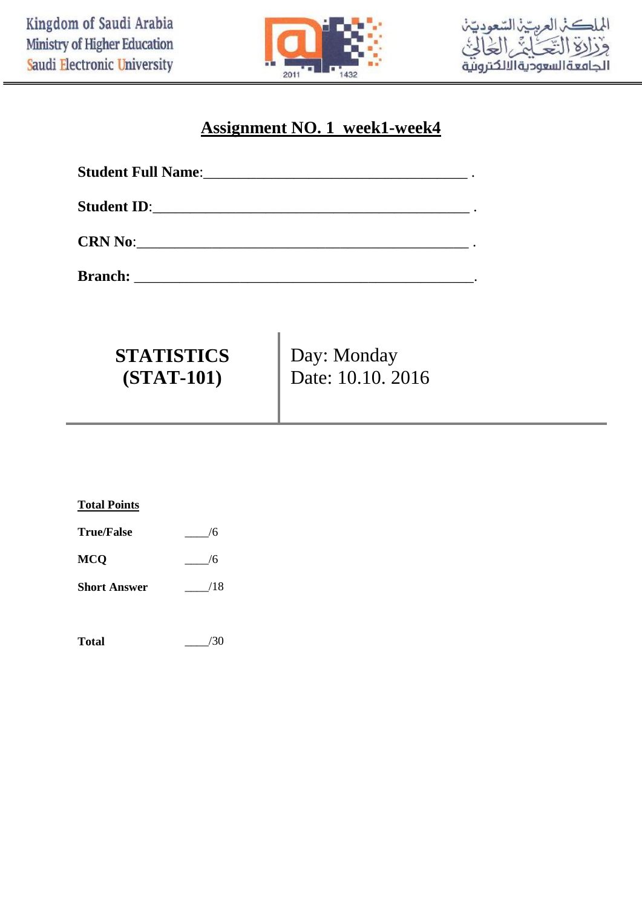



## **Assignment NO. 1 week1-week4**

| <b>Student Full Name:___</b>                                       | <u> 1989 - John Stone, Amerikaanse konstantinopler († 1989)</u> |
|--------------------------------------------------------------------|-----------------------------------------------------------------|
| <b>Student ID:</b><br><u> 1980 - Jan Salaman Salaman (j. 1980)</u> |                                                                 |
|                                                                    |                                                                 |

**Branch:** \_\_\_\_\_\_\_\_\_\_\_\_\_\_\_\_\_\_\_\_\_\_\_\_\_\_\_\_\_\_\_\_\_\_\_\_\_\_\_\_\_\_\_\_\_.

| <b>STATISTICS</b> | Day: Monday       |
|-------------------|-------------------|
| $(STAT-101)$      | Date: 10.10. 2016 |

| <b>Total Points</b> |     |
|---------------------|-----|
| <b>True/False</b>   | /6  |
| MCQ                 | 6/  |
| <b>Short Answer</b> | /18 |
|                     |     |

**Total** \_\_\_\_/30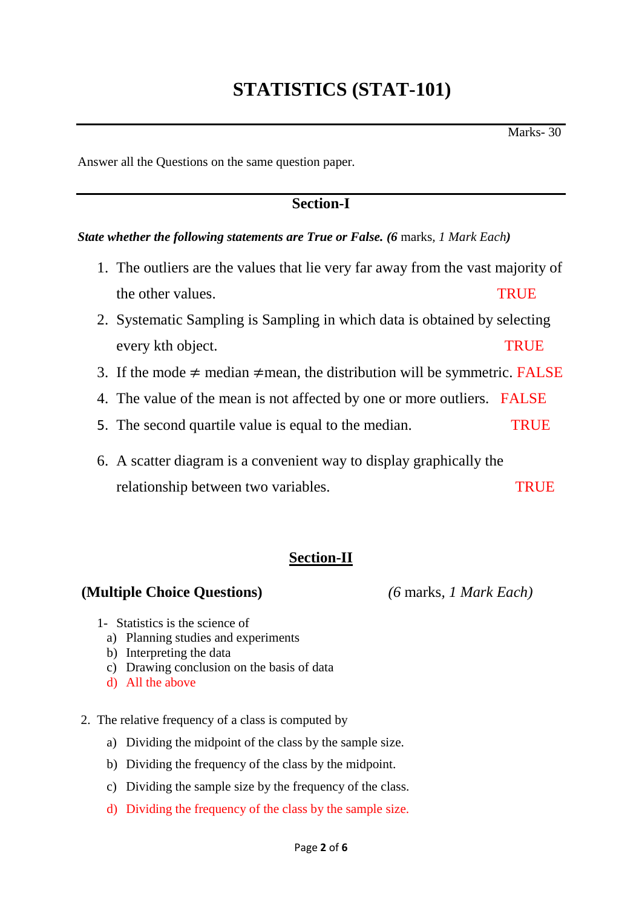Answer all the Questions on the same question paper*.*

## **Section-I**

#### *State whether the following statements are True or False. (6* marks*, 1 Mark Each)*

- 1. The outliers are the values that lie very far away from the vast majority of the other values. The other values are the other values of  $\mathbb{R}^n$
- 2. Systematic Sampling is Sampling in which data is obtained by selecting every kth object. TRUE
- 3. If the mode  $\neq$  median  $\neq$  mean, the distribution will be symmetric. FALSE
- 4. The value of the mean is not affected by one or more outliers. FALSE
- 5. The second quartile value is equal to the median. TRUE
- 6. A scatter diagram is a convenient way to display graphically the relationship between two variables. TRUE

## **Section-II**

### **(Multiple Choice Questions)** *(6* marks*, 1 Mark Each)*

- 1- Statistics is the science of
	- a) Planning studies and experiments
	- b) Interpreting the data
	- c) Drawing conclusion on the basis of data
	- d) All the above
- 2. The relative frequency of a class is computed by
	- a) Dividing the midpoint of the class by the sample size.
	- b) Dividing the frequency of the class by the midpoint.
	- c) Dividing the sample size by the frequency of the class.
	- d) Dividing the frequency of the class by the sample size.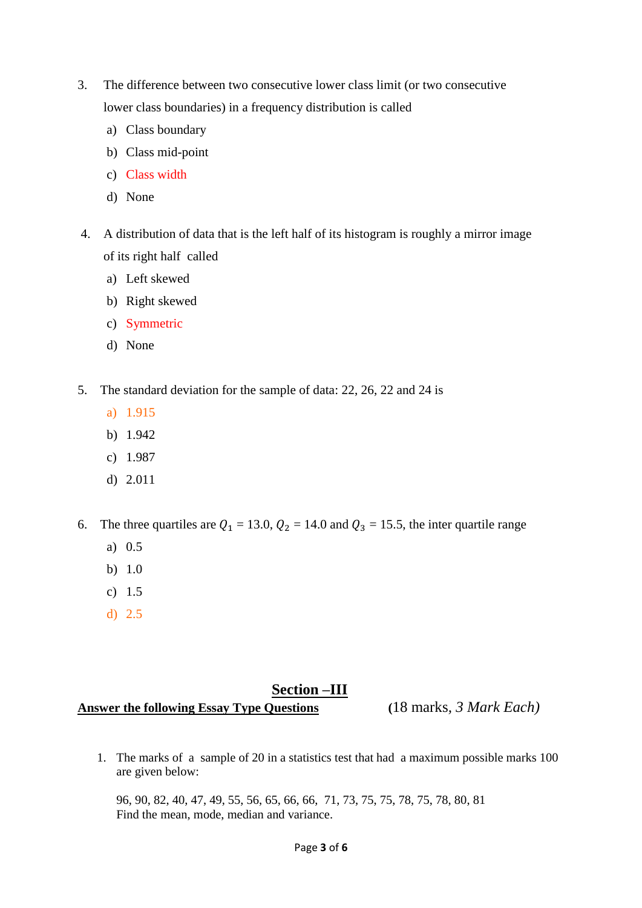- 3. The difference between two consecutive lower class limit (or two consecutive lower class boundaries) in a frequency distribution is called
	- a) Class boundary
	- b) Class mid-point
	- c) Class width
	- d) None
- 4. A distribution of data that is the left half of its histogram is roughly a mirror image of its right half called
	- a) Left skewed
	- b) Right skewed
	- c) Symmetric
	- d) None
- 5. The standard deviation for the sample of data: 22, 26, 22 and 24 is
	- a) 1.915
	- b) 1.942
	- c) 1.987
	- d) 2.011
- 6. The three quartiles are  $Q_1 = 13.0$ ,  $Q_2 = 14.0$  and  $Q_3 = 15.5$ , the inter quartile range
	- a) 0.5
	- b) 1.0
	- c) 1.5
	- d) 2.5

### **Section –III**

## **Answer the following Essay Type Questions (**18 marks*, 3 Mark Each)*

1. The marks of a sample of 20 in a statistics test that had a maximum possible marks 100 are given below:

96, 90, 82, 40, 47, 49, 55, 56, 65, 66, 66, 71, 73, 75, 75, 78, 75, 78, 80, 81 Find the mean, mode, median and variance.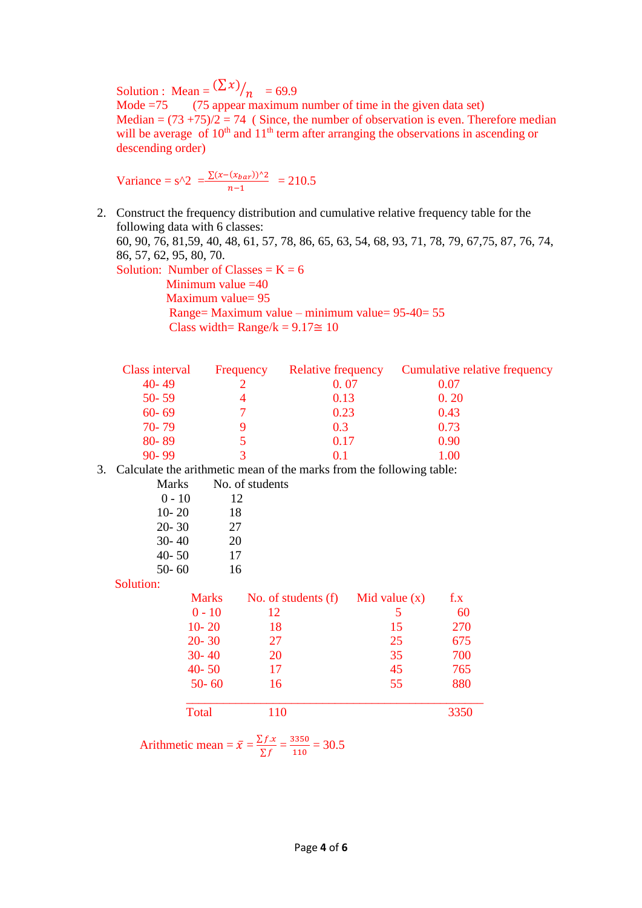Solution : Mean =  $(\sum x)$  $\frac{7}{n}$  = 69.9

Mode  $=75$  (75 appear maximum number of time in the given data set) Median =  $(73 + 75)/2 = 74$  (Since, the number of observation is even. Therefore median will be average of  $10<sup>th</sup>$  and  $11<sup>th</sup>$  term after arranging the observations in ascending or descending order)

Variance =  $s^2 = \frac{\sum (x - (x_{bar}))^2}{s^2}$  $\frac{-(x_{bar})^{1/2}}{n-1} = 210.5$ 

2. Construct the frequency distribution and cumulative relative frequency table for the following data with 6 classes: 60, 90, 76, 81,59, 40, 48, 61, 57, 78, 86, 65, 63, 54, 68, 93, 71, 78, 79, 67,75, 87, 76, 74, 86, 57, 62, 95, 80, 70. Solution: Number of Classes =  $K = 6$ Minimum value  $=40$  Maximum value= 95 Range= Maximum value – minimum value= 95-40= 55 Class width=  $\text{Range}/k = 9.17 \approx 10$ 

| Class interval | Frequency | <b>Relative frequency</b> | Cumulative relative frequency |
|----------------|-----------|---------------------------|-------------------------------|
| $40 - 49$      |           | 0.07                      | 0.07                          |
| $50 - 59$      |           | 0.13                      | 0.20                          |
| $60 - 69$      |           | 0.23                      | 0.43                          |
| $70 - 79$      |           | 0.3                       | 0.73                          |
| 80-89          |           | 0.17                      | 0.90                          |
| $90 - 99$      |           |                           | 1.00                          |

3. Calculate the arithmetic mean of the marks from the following table: students

| Marks     | No. of s |
|-----------|----------|
| $0 - 10$  | 12       |
| $10 - 20$ | 18       |
| $20 - 30$ | 27       |
| $30 - 40$ | 20       |
| $40 - 50$ | 17       |
| $50 - 60$ | 16       |
|           |          |

Solution:

| oviuuvii. |              |                     |                 |      |
|-----------|--------------|---------------------|-----------------|------|
|           | <b>Marks</b> | No. of students (f) | Mid value $(x)$ | f.x  |
|           | $0 - 10$     | 12                  |                 | 60   |
|           | $10 - 20$    | 18                  | 15              | 270  |
|           | $20 - 30$    | 27                  | 25              | 675  |
|           | $30 - 40$    | 20                  | 35              | 700  |
|           | $40 - 50$    | 17                  | 45              | 765  |
|           | $50 - 60$    | 16                  | 55              | 880  |
|           | Total        | 110                 |                 | 3350 |

Arithmetic mean = 
$$
\bar{x} = \frac{\sum f.x}{\sum f} = \frac{3350}{110} = 30.5
$$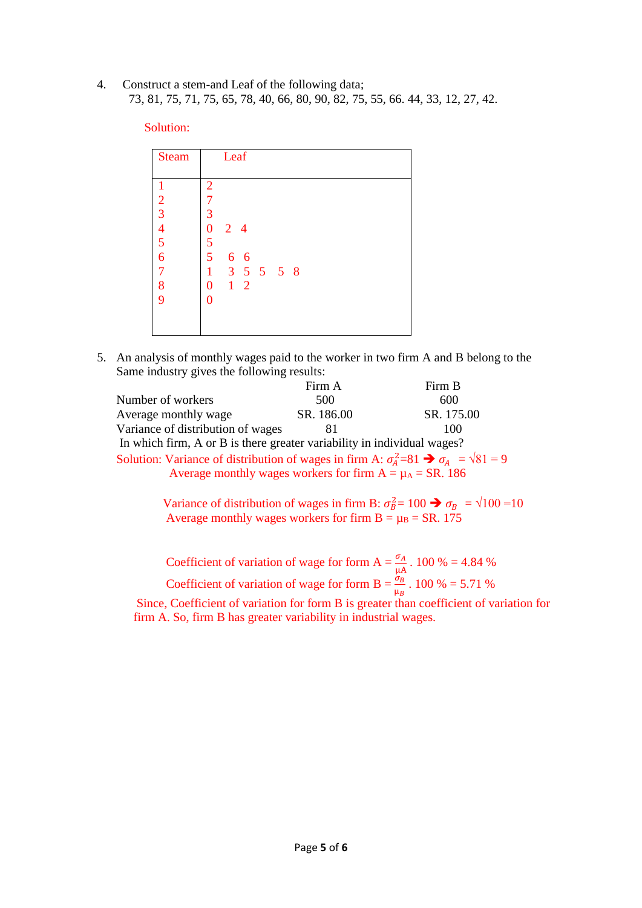4. Construct a stem-and Leaf of the following data; 73, 81, 75, 71, 75, 65, 78, 40, 66, 80, 90, 82, 75, 55, 66. 44, 33, 12, 27, 42.

#### Solution:

| <b>Steam</b>   | Leaf                         |
|----------------|------------------------------|
|                |                              |
|                | $\overline{2}$               |
| $\overline{c}$ | 7                            |
|                | 3                            |
| $\frac{3}{4}$  | $\overline{0}$<br>$2\quad 4$ |
| 5              | $\frac{5}{5}$                |
| $\overline{6}$ | 6 6                          |
| $\overline{7}$ | 3 5 5 5 8<br>1               |
| 8              | $1\quad 2$<br>$\overline{0}$ |
| 9              | 0                            |
|                |                              |
|                |                              |

5. An analysis of monthly wages paid to the worker in two firm A and B belong to the Same industry gives the following results:

|                                                                                                             | Firm A     | Firm B     |  |
|-------------------------------------------------------------------------------------------------------------|------------|------------|--|
| Number of workers                                                                                           | 500        | 600        |  |
| Average monthly wage                                                                                        | SR. 186.00 | SR. 175.00 |  |
| Variance of distribution of wages                                                                           |            | 100        |  |
| In which firm, A or B is there greater variability in individual wages?                                     |            |            |  |
| Solution: Variance of distribution of wages in firm $\Lambda: \sigma^2 - 81 \rightarrow \sigma = \sqrt{81}$ |            |            |  |

Solution: Variance of distribution of wages in firm A:  $\sigma_A^2 = 81 \rightarrow \sigma_A^2 = \sqrt{81} = 9$ Average monthly wages workers for firm  $A = \mu_A = SR$ . 186

Variance of distribution of wages in firm B:  $\sigma_B^2 = 100 \rightarrow \sigma_B = \sqrt{100} = 10$ Average monthly wages workers for firm  $B = \mu_B = SR$ . 175

Coefficient of variation of wage for form A =  $\frac{\sigma_A}{\mu A}$ . 100 % = 4.84 % Coefficient of variation of wage for form B =  $\frac{\sigma_B}{n}$  $\frac{\sigma_B}{\mu_B}$ . 100 % = 5.71 %

 Since, Coefficient of variation for form B is greater than coefficient of variation for firm A. So, firm B has greater variability in industrial wages.